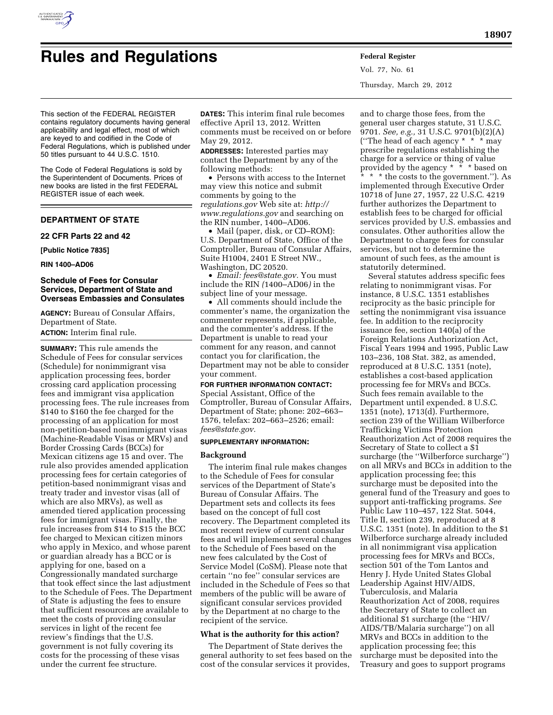

Vol. 77, No. 61 Thursday, March 29, 2012

and to charge those fees, from the

This section of the FEDERAL REGISTER contains regulatory documents having general applicability and legal effect, most of which are keyed to and codified in the Code of Federal Regulations, which is published under 50 titles pursuant to 44 U.S.C. 1510.

The Code of Federal Regulations is sold by the Superintendent of Documents. Prices of new books are listed in the first FEDERAL REGISTER issue of each week.

# **DEPARTMENT OF STATE**

**22 CFR Parts 22 and 42** 

**[Public Notice 7835]** 

**RIN 1400–AD06** 

## **Schedule of Fees for Consular Services, Department of State and Overseas Embassies and Consulates**

**AGENCY:** Bureau of Consular Affairs, Department of State.

**ACTION:** Interim final rule.

**SUMMARY:** This rule amends the Schedule of Fees for consular services (Schedule) for nonimmigrant visa application processing fees, border crossing card application processing fees and immigrant visa application processing fees. The rule increases from \$140 to \$160 the fee charged for the processing of an application for most non-petition-based nonimmigrant visas (Machine-Readable Visas or MRVs) and Border Crossing Cards (BCCs) for Mexican citizens age 15 and over. The rule also provides amended application processing fees for certain categories of petition-based nonimmigrant visas and treaty trader and investor visas (all of which are also MRVs), as well as amended tiered application processing fees for immigrant visas. Finally, the rule increases from \$14 to \$15 the BCC fee charged to Mexican citizen minors who apply in Mexico, and whose parent or guardian already has a BCC or is applying for one, based on a Congressionally mandated surcharge that took effect since the last adjustment to the Schedule of Fees. The Department of State is adjusting the fees to ensure that sufficient resources are available to meet the costs of providing consular services in light of the recent fee review's findings that the U.S. government is not fully covering its costs for the processing of these visas under the current fee structure.

**DATES:** This interim final rule becomes effective April 13, 2012. Written comments must be received on or before May 29, 2012.

**ADDRESSES:** Interested parties may contact the Department by any of the following methods:

• Persons with access to the Internet may view this notice and submit comments by going to the *regulations.gov* Web site at: *[http://](http://www.regulations.gov) [www.regulations.gov](http://www.regulations.gov)* and searching on the RIN number, 1400–AD06.

• Mail (paper, disk, or CD–ROM): U.S. Department of State, Office of the Comptroller, Bureau of Consular Affairs, Suite H1004, 2401 E Street NW., Washington, DC 20520.

• *Email: [fees@state.gov.](mailto:fees@state.gov)* You must include the RIN *(*1400–AD06*)* in the subject line of your message.

• All comments should include the commenter's name, the organization the commenter represents, if applicable, and the commenter's address. If the Department is unable to read your comment for any reason, and cannot contact you for clarification, the Department may not be able to consider your comment.

#### **FOR FURTHER INFORMATION CONTACT:**

Special Assistant, Office of the Comptroller, Bureau of Consular Affairs, Department of State; phone: 202–663– 1576, telefax: 202–663–2526; email: *[fees@state.gov.](mailto:fees@state.gov)* 

# **SUPPLEMENTARY INFORMATION:**

### **Background**

The interim final rule makes changes to the Schedule of Fees for consular services of the Department of State's Bureau of Consular Affairs. The Department sets and collects its fees based on the concept of full cost recovery. The Department completed its most recent review of current consular fees and will implement several changes to the Schedule of Fees based on the new fees calculated by the Cost of Service Model (CoSM). Please note that certain ''no fee'' consular services are included in the Schedule of Fees so that members of the public will be aware of significant consular services provided by the Department at no charge to the recipient of the service.

# **What is the authority for this action?**

The Department of State derives the general authority to set fees based on the cost of the consular services it provides,

general user charges statute, 31 U.S.C. 9701. *See, e.g.,* 31 U.S.C. 9701(b)(2)(A) (''The head of each agency \* \* \* may prescribe regulations establishing the charge for a service or thing of value provided by the agency \* \* \* based on \* \* \* the costs to the government."). As implemented through Executive Order 10718 of June 27, 1957, 22 U.S.C. 4219 further authorizes the Department to establish fees to be charged for official services provided by U.S. embassies and consulates. Other authorities allow the Department to charge fees for consular services, but not to determine the amount of such fees, as the amount is statutorily determined.

Several statutes address specific fees relating to nonimmigrant visas. For instance, 8 U.S.C. 1351 establishes reciprocity as the basic principle for setting the nonimmigrant visa issuance fee. In addition to the reciprocity issuance fee, section 140(a) of the Foreign Relations Authorization Act, Fiscal Years 1994 and 1995, Public Law 103–236, 108 Stat. 382, as amended, reproduced at 8 U.S.C. 1351 (note), establishes a cost-based application processing fee for MRVs and BCCs. Such fees remain available to the Department until expended. 8 U.S.C. 1351 (note), 1713(d). Furthermore, section 239 of the William Wilberforce Trafficking Victims Protection Reauthorization Act of 2008 requires the Secretary of State to collect a \$1 surcharge (the ''Wilberforce surcharge'') on all MRVs and BCCs in addition to the application processing fee; this surcharge must be deposited into the general fund of the Treasury and goes to support anti-trafficking programs. *See*  Public Law 110–457, 122 Stat. 5044, Title II, section 239, reproduced at 8 U.S.C. 1351 (note). In addition to the \$1 Wilberforce surcharge already included in all nonimmigrant visa application processing fees for MRVs and BCCs, section 501 of the Tom Lantos and Henry J. Hyde United States Global Leadership Against HIV/AIDS, Tuberculosis, and Malaria Reauthorization Act of 2008, requires the Secretary of State to collect an additional \$1 surcharge (the ''HIV/ AIDS/TB/Malaria surcharge'') on all MRVs and BCCs in addition to the application processing fee; this surcharge must be deposited into the Treasury and goes to support programs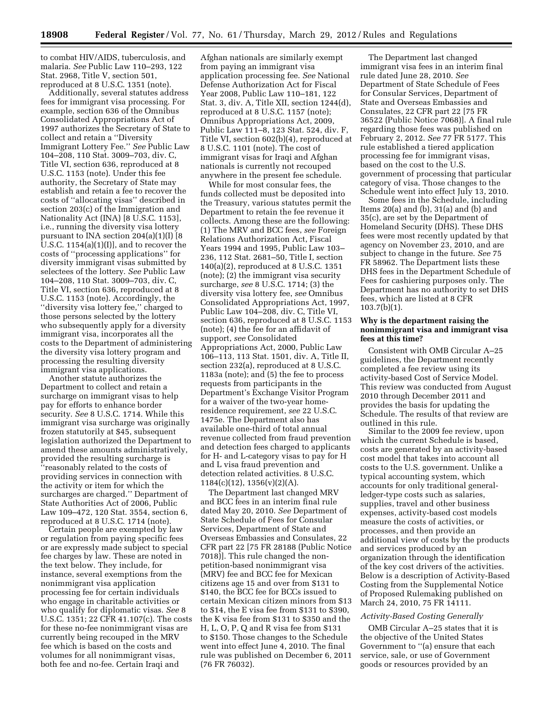to combat HIV/AIDS, tuberculosis, and malaria. *See* Public Law 110–293, 122 Stat. 2968, Title V, section 501, reproduced at 8 U.S.C. 1351 (note).

Additionally, several statutes address fees for immigrant visa processing. For example, section 636 of the Omnibus Consolidated Appropriations Act of 1997 authorizes the Secretary of State to collect and retain a ''Diversity Immigrant Lottery Fee.'' *See* Public Law 104–208, 110 Stat. 3009–703, div. C, Title VI, section 636, reproduced at 8 U.S.C. 1153 (note). Under this fee authority, the Secretary of State may establish and retain a fee to recover the costs of ''allocating visas'' described in section 203(c) of the Immigration and Nationality Act (INA) [8 U.S.C. 1153], i.e., running the diversity visa lottery pursuant to INA section 204(a)(1)(I) [8 U.S.C. 1154(a)(1)(I)], and to recover the costs of ''processing applications'' for diversity immigrant visas submitted by selectees of the lottery. *See* Public Law 104–208, 110 Stat. 3009–703, div. C, Title VI, section 636, reproduced at 8 U.S.C. 1153 (note). Accordingly, the ''diversity visa lottery fee,'' charged to those persons selected by the lottery who subsequently apply for a diversity immigrant visa, incorporates all the costs to the Department of administering the diversity visa lottery program and processing the resulting diversity immigrant visa applications.

Another statute authorizes the Department to collect and retain a surcharge on immigrant visas to help pay for efforts to enhance border security. *See* 8 U.S.C. 1714. While this immigrant visa surcharge was originally frozen statutorily at \$45, subsequent legislation authorized the Department to amend these amounts administratively, provided the resulting surcharge is ''reasonably related to the costs of providing services in connection with the activity or item for which the surcharges are charged.'' Department of State Authorities Act of 2006, Public Law 109–472, 120 Stat. 3554, section 6, reproduced at 8 U.S.C. 1714 (note).

Certain people are exempted by law or regulation from paying specific fees or are expressly made subject to special fee charges by law. These are noted in the text below. They include, for instance, several exemptions from the nonimmigrant visa application processing fee for certain individuals who engage in charitable activities or who qualify for diplomatic visas. *See* 8 U.S.C. 1351; 22 CFR 41.107(c). The costs for these no-fee nonimmigrant visas are currently being recouped in the MRV fee which is based on the costs and volumes for all nonimmigrant visas, both fee and no-fee. Certain Iraqi and

Afghan nationals are similarly exempt from paying an immigrant visa application processing fee. *See* National Defense Authorization Act for Fiscal Year 2008, Public Law 110–181, 122 Stat. 3, div. A, Title XII, section 1244(d), reproduced at 8 U.S.C. 1157 (note); Omnibus Appropriations Act, 2009, Public Law 111–8, 123 Stat. 524, div. F, Title VI, section 602(b)(4), reproduced at 8 U.S.C. 1101 (note). The cost of immigrant visas for Iraqi and Afghan nationals is currently not recouped anywhere in the present fee schedule.

While for most consular fees, the funds collected must be deposited into the Treasury, various statutes permit the Department to retain the fee revenue it collects. Among these are the following: (1) The MRV and BCC fees, *see* Foreign Relations Authorization Act, Fiscal Years 1994 and 1995, Public Law 103– 236, 112 Stat. 2681–50, Title I, section 140(a)(2), reproduced at 8 U.S.C. 1351 (note); (2) the immigrant visa security surcharge, *see* 8 U.S.C. 1714; (3) the diversity visa lottery fee, *see* Omnibus Consolidated Appropriations Act, 1997, Public Law 104–208, div. C, Title VI, section 636, reproduced at 8 U.S.C. 1153 (note); (4) the fee for an affidavit of support, *see* Consolidated Appropriations Act, 2000, Public Law 106–113, 113 Stat. 1501, div. A, Title II, section 232(a), reproduced at 8 U.S.C. 1183a (note); and (5) the fee to process requests from participants in the Department's Exchange Visitor Program for a waiver of the two-year homeresidence requirement, *see* 22 U.S.C. 1475e. The Department also has available one-third of total annual revenue collected from fraud prevention and detection fees charged to applicants for H- and L-category visas to pay for H and L visa fraud prevention and detection related activities. 8 U.S.C.  $1184(c)(12)$ ,  $1356(v)(2)(A)$ .

The Department last changed MRV and BCC fees in an interim final rule dated May 20, 2010. *See* Department of State Schedule of Fees for Consular Services, Department of State and Overseas Embassies and Consulates, 22 CFR part 22 [75 FR 28188 (Public Notice 7018)]. This rule changed the nonpetition-based nonimmigrant visa (MRV) fee and BCC fee for Mexican citizens age 15 and over from \$131 to \$140, the BCC fee for BCCs issued to certain Mexican citizen minors from \$13 to \$14, the E visa fee from \$131 to \$390, the K visa fee from \$131 to \$350 and the H, L, O, P, Q and R visa fee from \$131 to \$150. Those changes to the Schedule went into effect June 4, 2010. The final rule was published on December 6, 2011 (76 FR 76032).

The Department last changed immigrant visa fees in an interim final rule dated June 28, 2010. *See*  Department of State Schedule of Fees for Consular Services, Department of State and Overseas Embassies and Consulates, 22 CFR part 22 [75 FR 36522 (Public Notice 7068)]. A final rule regarding those fees was published on February 2, 2012. *See* 77 FR 5177. This rule established a tiered application processing fee for immigrant visas, based on the cost to the U.S. government of processing that particular category of visa. Those changes to the Schedule went into effect July 13, 2010.

Some fees in the Schedule, including Items 20(a) and (b), 31(a) and (b) and 35(c), are set by the Department of Homeland Security (DHS). These DHS fees were most recently updated by that agency on November 23, 2010, and are subject to change in the future. *See* 75 FR 58962. The Department lists these DHS fees in the Department Schedule of Fees for cashiering purposes only. The Department has no authority to set DHS fees, which are listed at 8 CFR 103.7(b)(1).

## **Why is the department raising the nonimmigrant visa and immigrant visa fees at this time?**

Consistent with OMB Circular A–25 guidelines, the Department recently completed a fee review using its activity-based Cost of Service Model. This review was conducted from August 2010 through December 2011 and provides the basis for updating the Schedule. The results of that review are outlined in this rule.

Similar to the 2009 fee review, upon which the current Schedule is based, costs are generated by an activity-based cost model that takes into account all costs to the U.S. government. Unlike a typical accounting system, which accounts for only traditional generalledger-type costs such as salaries, supplies, travel and other business expenses, activity-based cost models measure the costs of activities, or processes, and then provide an additional view of costs by the products and services produced by an organization through the identification of the key cost drivers of the activities. Below is a description of Activity-Based Costing from the Supplemental Notice of Proposed Rulemaking published on March 24, 2010, 75 FR 14111.

#### *Activity-Based Costing Generally*

OMB Circular A–25 states that it is the objective of the United States Government to ''(a) ensure that each service, sale, or use of Government goods or resources provided by an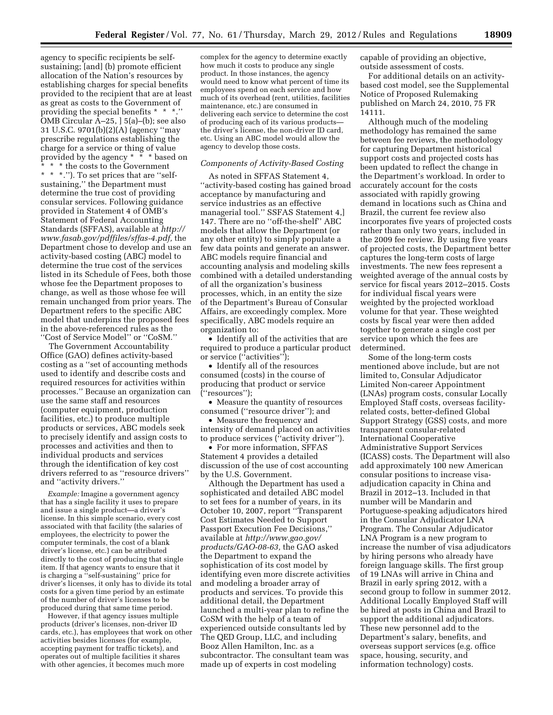agency to specific recipients be selfsustaining; [and] (b) promote efficient allocation of the Nation's resources by establishing charges for special benefits provided to the recipient that are at least as great as costs to the Government of providing the special benefits \* \* \*.'' OMB Circular A–25, ] 5(a)–(b); see also 31 U.S.C. 9701(b)(2)(A) (agency ''may prescribe regulations establishing the charge for a service or thing of value provided by the agency \* \* \* based on \* \* \* the costs to the Government \* \* \*.''). To set prices that are ''selfsustaining,'' the Department must determine the true cost of providing consular services. Following guidance provided in Statement 4 of OMB's Statement of Federal Accounting Standards (SFFAS), available at *[http://](http://www.fasab.gov/pdffiles/sffas-4.pdf)  [www.fasab.gov/pdffiles/sffas-4.pdf,](http://www.fasab.gov/pdffiles/sffas-4.pdf)* the Department chose to develop and use an activity-based costing (ABC) model to determine the true cost of the services listed in its Schedule of Fees, both those whose fee the Department proposes to change, as well as those whose fee will remain unchanged from prior years. The Department refers to the specific ABC model that underpins the proposed fees in the above-referenced rules as the ''Cost of Service Model'' or ''CoSM.''

The Government Accountability Office (GAO) defines activity-based costing as a ''set of accounting methods used to identify and describe costs and required resources for activities within processes.'' Because an organization can use the same staff and resources (computer equipment, production facilities, etc.) to produce multiple products or services, ABC models seek to precisely identify and assign costs to processes and activities and then to individual products and services through the identification of key cost drivers referred to as ''resource drivers'' and ''activity drivers.''

*Example:* Imagine a government agency that has a single facility it uses to prepare and issue a single product—a driver's license. In this simple scenario, every cost associated with that facility (the salaries of employees, the electricity to power the computer terminals, the cost of a blank driver's license, etc.) can be attributed directly to the cost of producing that single item. If that agency wants to ensure that it is charging a ''self-sustaining'' price for driver's licenses, it only has to divide its total costs for a given time period by an estimate of the number of driver's licenses to be produced during that same time period.

However, if that agency issues multiple products (driver's licenses, non-driver ID cards, etc.), has employees that work on other activities besides licenses (for example, accepting payment for traffic tickets), and operates out of multiple facilities it shares with other agencies, it becomes much more

complex for the agency to determine exactly how much it costs to produce any single product. In those instances, the agency would need to know what percent of time its employees spend on each service and how much of its overhead (rent, utilities, facilities maintenance, etc.) are consumed in delivering each service to determine the cost of producing each of its various products the driver's license, the non-driver ID card, etc. Using an ABC model would allow the agency to develop those costs.

## *Components of Activity-Based Costing*

As noted in SFFAS Statement 4, ''activity-based costing has gained broad acceptance by manufacturing and service industries as an effective managerial tool.'' SSFAS Statement 4,] 147. There are no ''off-the-shelf'' ABC models that allow the Department (or any other entity) to simply populate a few data points and generate an answer. ABC models require financial and accounting analysis and modeling skills combined with a detailed understanding of all the organization's business processes, which, in an entity the size of the Department's Bureau of Consular Affairs, are exceedingly complex. More specifically, ABC models require an organization to:

• Identify all of the activities that are required to produce a particular product or service (''activities'');

• Identify all of the resources consumed (costs) in the course of producing that product or service (''resources'');

• Measure the quantity of resources consumed (''resource driver''); and

• Measure the frequency and intensity of demand placed on activities to produce services (''activity driver'').

• For more information, SFFAS Statement 4 provides a detailed discussion of the use of cost accounting by the U.S. Government.

Although the Department has used a sophisticated and detailed ABC model to set fees for a number of years, in its October 10, 2007, report ''Transparent Cost Estimates Needed to Support Passport Execution Fee Decisions,'' available at *[http://www.gao.gov/](http://www.gao.gov/products/GAO-08-63)  [products/GAO-08-63,](http://www.gao.gov/products/GAO-08-63)* the GAO asked the Department to expand the sophistication of its cost model by identifying even more discrete activities and modeling a broader array of products and services. To provide this additional detail, the Department launched a multi-year plan to refine the CoSM with the help of a team of experienced outside consultants led by The QED Group, LLC, and including Booz Allen Hamilton, Inc. as a subcontractor. The consultant team was made up of experts in cost modeling

capable of providing an objective, outside assessment of costs.

For additional details on an activitybased cost model, see the Supplemental Notice of Proposed Rulemaking published on March 24, 2010, 75 FR 14111.

Although much of the modeling methodology has remained the same between fee reviews, the methodology for capturing Department historical support costs and projected costs has been updated to reflect the change in the Department's workload. In order to accurately account for the costs associated with rapidly growing demand in locations such as China and Brazil, the current fee review also incorporates five years of projected costs rather than only two years, included in the 2009 fee review. By using five years of projected costs, the Department better captures the long-term costs of large investments. The new fees represent a weighted average of the annual costs by service for fiscal years 2012–2015. Costs for individual fiscal years were weighted by the projected workload volume for that year. These weighted costs by fiscal year were then added together to generate a single cost per service upon which the fees are determined.

Some of the long-term costs mentioned above include, but are not limited to, Consular Adjudicator Limited Non-career Appointment (LNAs) program costs, consular Locally Employed Staff costs, overseas facilityrelated costs, better-defined Global Support Strategy (GSS) costs, and more transparent consular-related International Cooperative Administrative Support Services (ICASS) costs. The Department will also add approximately 100 new American consular positions to increase visaadjudication capacity in China and Brazil in 2012–13. Included in that number will be Mandarin and Portuguese-speaking adjudicators hired in the Consular Adjudicator LNA Program. The Consular Adjudicator LNA Program is a new program to increase the number of visa adjudicators by hiring persons who already have foreign language skills. The first group of 19 LNAs will arrive in China and Brazil in early spring 2012, with a second group to follow in summer 2012. Additional Locally Employed Staff will be hired at posts in China and Brazil to support the additional adjudicators. These new personnel add to the Department's salary, benefits, and overseas support services (e.g. office space, housing, security, and information technology) costs.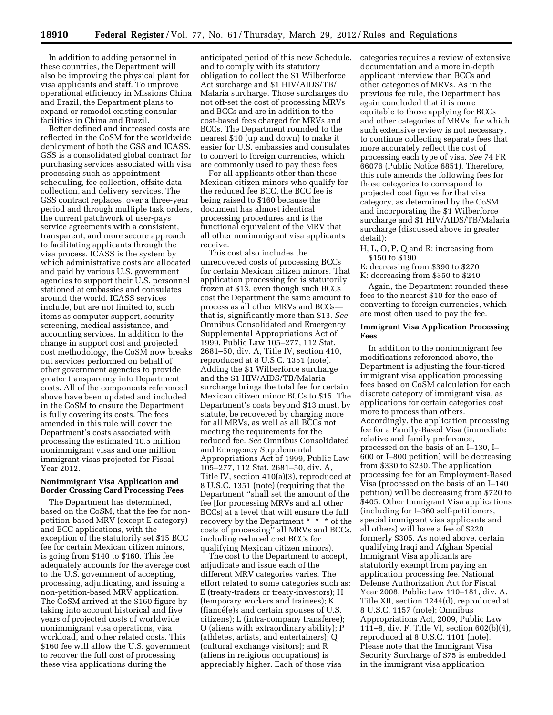In addition to adding personnel in these countries, the Department will also be improving the physical plant for visa applicants and staff. To improve operational efficiency in Missions China and Brazil, the Department plans to expand or remodel existing consular facilities in China and Brazil.

Better defined and increased costs are reflected in the CoSM for the worldwide deployment of both the GSS and ICASS. GSS is a consolidated global contract for purchasing services associated with visa processing such as appointment scheduling, fee collection, offsite data collection, and delivery services. The GSS contract replaces, over a three-year period and through multiple task orders, the current patchwork of user-pays service agreements with a consistent, transparent, and more secure approach to facilitating applicants through the visa process. ICASS is the system by which administrative costs are allocated and paid by various U.S. government agencies to support their U.S. personnel stationed at embassies and consulates around the world. ICASS services include, but are not limited to, such items as computer support, security screening, medical assistance, and accounting services. In addition to the change in support cost and projected cost methodology, the CoSM now breaks out services performed on behalf of other government agencies to provide greater transparency into Department costs. All of the components referenced above have been updated and included in the CoSM to ensure the Department is fully covering its costs. The fees amended in this rule will cover the Department's costs associated with processing the estimated 10.5 million nonimmigrant visas and one million immigrant visas projected for Fiscal Year 2012.

## **Nonimmigrant Visa Application and Border Crossing Card Processing Fees**

The Department has determined, based on the CoSM, that the fee for nonpetition-based MRV (except E category) and BCC applications, with the exception of the statutorily set \$15 BCC fee for certain Mexican citizen minors, is going from \$140 to \$160. This fee adequately accounts for the average cost to the U.S. government of accepting, processing, adjudicating, and issuing a non-petition-based MRV application. The CoSM arrived at the \$160 figure by taking into account historical and five years of projected costs of worldwide nonimmigrant visa operations, visa workload, and other related costs. This \$160 fee will allow the U.S. government to recover the full cost of processing these visa applications during the

anticipated period of this new Schedule, and to comply with its statutory obligation to collect the \$1 Wilberforce Act surcharge and \$1 HIV/AIDS/TB/ Malaria surcharge. Those surcharges do not off-set the cost of processing MRVs and BCCs and are in addition to the cost-based fees charged for MRVs and BCCs. The Department rounded to the nearest \$10 (up and down) to make it easier for U.S. embassies and consulates to convert to foreign currencies, which are commonly used to pay these fees.

For all applicants other than those Mexican citizen minors who qualify for the reduced fee BCC, the BCC fee is being raised to \$160 because the document has almost identical processing procedures and is the functional equivalent of the MRV that all other nonimmigrant visa applicants receive.

This cost also includes the unrecovered costs of processing BCCs for certain Mexican citizen minors. That application processing fee is statutorily frozen at \$13, even though such BCCs cost the Department the same amount to process as all other MRVs and BCCs that is, significantly more than \$13. *See*  Omnibus Consolidated and Emergency Supplemental Appropriations Act of 1999, Public Law 105–277, 112 Stat. 2681–50, div. A, Title IV, section 410, reproduced at 8 U.S.C. 1351 (note). Adding the \$1 Wilberforce surcharge and the \$1 HIV/AIDS/TB/Malaria surcharge brings the total fee for certain Mexican citizen minor BCCs to \$15. The Department's costs beyond \$13 must, by statute, be recovered by charging more for all MRVs, as well as all BCCs not meeting the requirements for the reduced fee. *See* Omnibus Consolidated and Emergency Supplemental Appropriations Act of 1999, Public Law 105–277, 112 Stat. 2681–50, div. A, Title IV, section 410(a)(3), reproduced at 8 U.S.C. 1351 (note) (requiring that the Department ''shall set the amount of the fee [for processing MRVs and all other BCCs] at a level that will ensure the full recovery by the Department \* \* \* of the costs of processing'' all MRVs and BCCs, including reduced cost BCCs for qualifying Mexican citizen minors).

The cost to the Department to accept, adjudicate and issue each of the different MRV categories varies. The effort related to some categories such as: E (treaty-traders or treaty-investors); H (temporary workers and trainees); K  $(\text{fiance}(e)$ s and certain spouses of U.S. citizens); L (intra-company transferee); O (aliens with extraordinary ability); P (athletes, artists, and entertainers); Q (cultural exchange visitors); and R (aliens in religious occupations) is appreciably higher. Each of those visa

categories requires a review of extensive documentation and a more in-depth applicant interview than BCCs and other categories of MRVs. As in the previous fee rule, the Department has again concluded that it is more equitable to those applying for BCCs and other categories of MRVs, for which such extensive review is not necessary, to continue collecting separate fees that more accurately reflect the cost of processing each type of visa. *See* 74 FR 66076 (Public Notice 6851). Therefore, this rule amends the following fees for those categories to correspond to projected cost figures for that visa category, as determined by the CoSM and incorporating the \$1 Wilberforce surcharge and \$1 HIV/AIDS/TB/Malaria surcharge (discussed above in greater detail):

H, L, O, P, Q and R: increasing from \$150 to \$190

E: decreasing from \$390 to \$270

K: decreasing from \$350 to \$240

Again, the Department rounded these fees to the nearest \$10 for the ease of converting to foreign currencies, which are most often used to pay the fee.

#### **Immigrant Visa Application Processing Fees**

In addition to the nonimmigrant fee modifications referenced above, the Department is adjusting the four-tiered immigrant visa application processing fees based on CoSM calculation for each discrete category of immigrant visa, as applications for certain categories cost more to process than others. Accordingly, the application processing fee for a Family-Based Visa (immediate relative and family preference, processed on the basis of an I–130, I– 600 or I–800 petition) will be decreasing from \$330 to \$230. The application processing fee for an Employment-Based Visa (processed on the basis of an I–140 petition) will be decreasing from \$720 to \$405. Other Immigrant Visa applications (including for I–360 self-petitioners, special immigrant visa applicants and all others) will have a fee of \$220, formerly \$305. As noted above, certain qualifying Iraqi and Afghan Special Immigrant Visa applicants are statutorily exempt from paying an application processing fee. National Defense Authorization Act for Fiscal Year 2008, Public Law 110–181, div. A, Title XII, section 1244(d), reproduced at 8 U.S.C. 1157 (note); Omnibus Appropriations Act, 2009, Public Law 111–8, div. F, Title VI, section 602(b)(4), reproduced at 8 U.S.C. 1101 (note). Please note that the Immigrant Visa Security Surcharge of \$75 is embedded in the immigrant visa application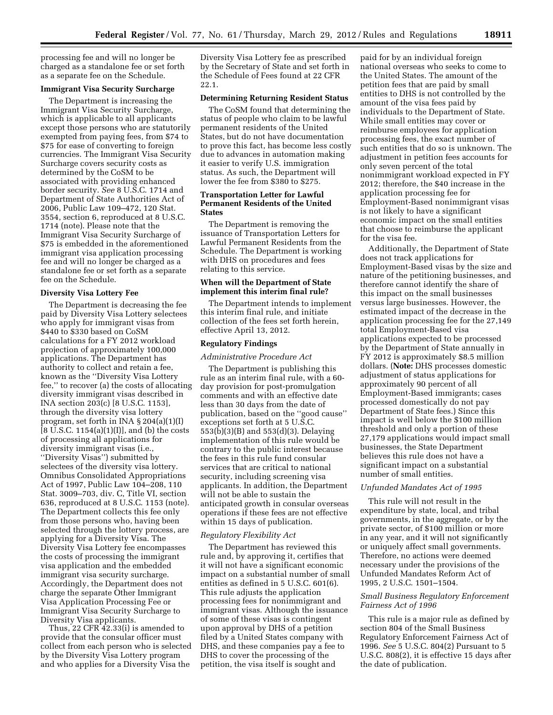processing fee and will no longer be charged as a standalone fee or set forth as a separate fee on the Schedule.

### **Immigrant Visa Security Surcharge**

The Department is increasing the Immigrant Visa Security Surcharge, which is applicable to all applicants except those persons who are statutorily exempted from paying fees, from \$74 to \$75 for ease of converting to foreign currencies. The Immigrant Visa Security Surcharge covers security costs as determined by the CoSM to be associated with providing enhanced border security. *See* 8 U.S.C. 1714 and Department of State Authorities Act of 2006, Public Law 109–472, 120 Stat. 3554, section 6, reproduced at 8 U.S.C. 1714 (note). Please note that the Immigrant Visa Security Surcharge of \$75 is embedded in the aforementioned immigrant visa application processing fee and will no longer be charged as a standalone fee or set forth as a separate fee on the Schedule.

#### **Diversity Visa Lottery Fee**

The Department is decreasing the fee paid by Diversity Visa Lottery selectees who apply for immigrant visas from \$440 to \$330 based on CoSM calculations for a FY 2012 workload projection of approximately 100,000 applications. The Department has authority to collect and retain a fee, known as the ''Diversity Visa Lottery fee,'' to recover (a) the costs of allocating diversity immigrant visas described in INA section 203(c) [8 U.S.C. 1153], through the diversity visa lottery program, set forth in INA § 204(a)(1)(I) [8 U.S.C. 1154(a)(1)(I)], and (b) the costs of processing all applications for diversity immigrant visas (i.e., ''Diversity Visas'') submitted by selectees of the diversity visa lottery. Omnibus Consolidated Appropriations Act of 1997, Public Law 104–208, 110 Stat. 3009–703, div. C, Title VI, section 636, reproduced at 8 U.S.C. 1153 (note). The Department collects this fee only from those persons who, having been selected through the lottery process, are applying for a Diversity Visa. The Diversity Visa Lottery fee encompasses the costs of processing the immigrant visa application and the embedded immigrant visa security surcharge. Accordingly, the Department does not charge the separate Other Immigrant Visa Application Processing Fee or Immigrant Visa Security Surcharge to Diversity Visa applicants.

Thus, 22 CFR 42.33(i) is amended to provide that the consular officer must collect from each person who is selected by the Diversity Visa Lottery program and who applies for a Diversity Visa the

Diversity Visa Lottery fee as prescribed by the Secretary of State and set forth in the Schedule of Fees found at 22 CFR 22.1.

# **Determining Returning Resident Status**

The CoSM found that determining the status of people who claim to be lawful permanent residents of the United States, but do not have documentation to prove this fact, has become less costly due to advances in automation making it easier to verify U.S. immigration status. As such, the Department will lower the fee from \$380 to \$275.

## **Transportation Letter for Lawful Permanent Residents of the United States**

The Department is removing the issuance of Transportation Letters for Lawful Permanent Residents from the Schedule. The Department is working with DHS on procedures and fees relating to this service.

# **When will the Department of State implement this interim final rule?**

The Department intends to implement this interim final rule, and initiate collection of the fees set forth herein, effective April 13, 2012.

# **Regulatory Findings**

#### *Administrative Procedure Act*

The Department is publishing this rule as an interim final rule, with a 60 day provision for post-promulgation comments and with an effective date less than 30 days from the date of publication, based on the ''good cause'' exceptions set forth at 5 U.S.C. 553(b)(3)(B) and 553(d)(3). Delaying implementation of this rule would be contrary to the public interest because the fees in this rule fund consular services that are critical to national security, including screening visa applicants. In addition, the Department will not be able to sustain the anticipated growth in consular overseas operations if these fees are not effective within 15 days of publication.

#### *Regulatory Flexibility Act*

The Department has reviewed this rule and, by approving it, certifies that it will not have a significant economic impact on a substantial number of small entities as defined in 5 U.S.C. 601(6). This rule adjusts the application processing fees for nonimmigrant and immigrant visas. Although the issuance of some of these visas is contingent upon approval by DHS of a petition filed by a United States company with DHS, and these companies pay a fee to DHS to cover the processing of the petition, the visa itself is sought and

paid for by an individual foreign national overseas who seeks to come to the United States. The amount of the petition fees that are paid by small entities to DHS is not controlled by the amount of the visa fees paid by individuals to the Department of State. While small entities may cover or reimburse employees for application processing fees, the exact number of such entities that do so is unknown. The adjustment in petition fees accounts for only seven percent of the total nonimmigrant workload expected in FY 2012; therefore, the \$40 increase in the application processing fee for Employment-Based nonimmigrant visas is not likely to have a significant economic impact on the small entities that choose to reimburse the applicant for the visa fee.

Additionally, the Department of State does not track applications for Employment-Based visas by the size and nature of the petitioning businesses, and therefore cannot identify the share of this impact on the small businesses versus large businesses. However, the estimated impact of the decrease in the application processing fee for the 27,149 total Employment-Based visa applications expected to be processed by the Department of State annually in FY 2012 is approximately \$8.5 million dollars. (**Note:** DHS processes domestic adjustment of status applications for approximately 90 percent of all Employment-Based immigrants; cases processed domestically do not pay Department of State fees.) Since this impact is well below the \$100 million threshold and only a portion of these 27,179 applications would impact small businesses, the State Department believes this rule does not have a significant impact on a substantial number of small entities.

#### *Unfunded Mandates Act of 1995*

This rule will not result in the expenditure by state, local, and tribal governments, in the aggregate, or by the private sector, of \$100 million or more in any year, and it will not significantly or uniquely affect small governments. Therefore, no actions were deemed necessary under the provisions of the Unfunded Mandates Reform Act of 1995, 2 U.S.C. 1501–1504.

## *Small Business Regulatory Enforcement Fairness Act of 1996*

This rule is a major rule as defined by section 804 of the Small Business Regulatory Enforcement Fairness Act of 1996. *See* 5 U.S.C. 804(2) Pursuant to 5 U.S.C. 808(2), it is effective 15 days after the date of publication.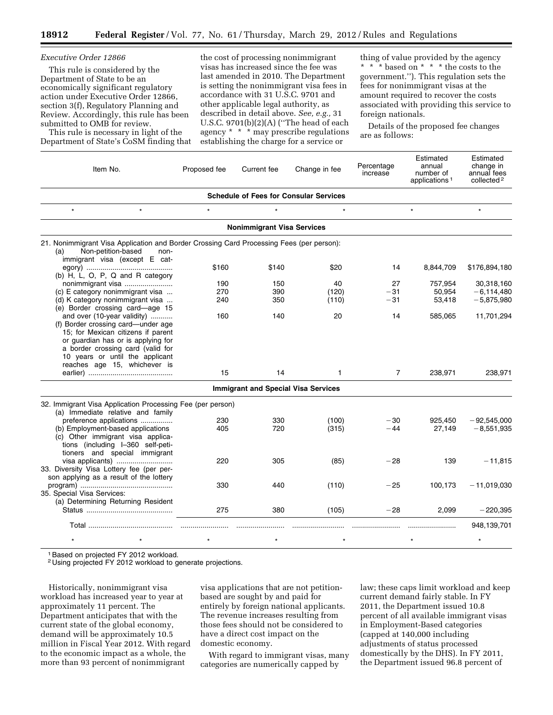the cost of processing nonimmigrant visas has increased since the fee was

| THIS THE IS CONSIDERED BY THE<br>Department of State to be an<br>economically significant regulatory<br>action under Executive Order 12866,<br>section 3(f), Regulatory Planning and<br>Review. Accordingly, this rule has been<br>submitted to OMB for review.<br>This rule is necessary in light of the<br>Department of State's CoSM finding that |              | last amended in 2010. The Department<br>is setting the nonimmigrant visa fees in<br>accordance with 31 U.S.C. 9701 and<br>other applicable legal authority, as<br>described in detail above. See, e.g., 31<br>U.S.C. 9701(b)(2)(A) ("The head of each<br>agency * * * may prescribe regulations<br>establishing the charge for a service or |                                               |                        | government."). This regulation sets the<br>fees for nonimmigrant visas at the<br>amount required to recover the costs<br>associated with providing this service to<br>foreign nationals.<br>Details of the proposed fee changes<br>are as follows: |                                                                 |  |
|------------------------------------------------------------------------------------------------------------------------------------------------------------------------------------------------------------------------------------------------------------------------------------------------------------------------------------------------------|--------------|---------------------------------------------------------------------------------------------------------------------------------------------------------------------------------------------------------------------------------------------------------------------------------------------------------------------------------------------|-----------------------------------------------|------------------------|----------------------------------------------------------------------------------------------------------------------------------------------------------------------------------------------------------------------------------------------------|-----------------------------------------------------------------|--|
| Item No.                                                                                                                                                                                                                                                                                                                                             | Proposed fee | Current fee                                                                                                                                                                                                                                                                                                                                 | Change in fee                                 | Percentage<br>increase | Estimated<br>annual<br>number of<br>applications <sup>1</sup>                                                                                                                                                                                      | Estimated<br>change in<br>annual fees<br>collected <sup>2</sup> |  |
|                                                                                                                                                                                                                                                                                                                                                      |              |                                                                                                                                                                                                                                                                                                                                             | <b>Schedule of Fees for Consular Services</b> |                        |                                                                                                                                                                                                                                                    |                                                                 |  |
| $\star$<br>$\star$                                                                                                                                                                                                                                                                                                                                   | $\star$      | $\star$                                                                                                                                                                                                                                                                                                                                     | $\star$                                       |                        | $\star$                                                                                                                                                                                                                                            | $\star$                                                         |  |
|                                                                                                                                                                                                                                                                                                                                                      |              | <b>Nonimmigrant Visa Services</b>                                                                                                                                                                                                                                                                                                           |                                               |                        |                                                                                                                                                                                                                                                    |                                                                 |  |
| 21. Nonimmigrant Visa Application and Border Crossing Card Processing Fees (per person):<br>Non-petition-based<br>(a)<br>non-<br>immigrant visa (except E cat-                                                                                                                                                                                       |              |                                                                                                                                                                                                                                                                                                                                             |                                               |                        |                                                                                                                                                                                                                                                    |                                                                 |  |
| (b) H, L, O, P, Q and R category                                                                                                                                                                                                                                                                                                                     | \$160        | \$140                                                                                                                                                                                                                                                                                                                                       | \$20                                          | 14                     | 8,844,709                                                                                                                                                                                                                                          | \$176,894,180                                                   |  |
| nonimmigrant visa                                                                                                                                                                                                                                                                                                                                    | 190          | 150                                                                                                                                                                                                                                                                                                                                         | 40                                            | 27                     | 757,954                                                                                                                                                                                                                                            | 30,318,160                                                      |  |
| (c) E category nonimmigrant visa                                                                                                                                                                                                                                                                                                                     | 270          | 390                                                                                                                                                                                                                                                                                                                                         | (120)                                         | $-31$                  | 50,954                                                                                                                                                                                                                                             | $-6,114,480$                                                    |  |
| (d) K category nonimmigrant visa<br>(e) Border crossing card-age 15                                                                                                                                                                                                                                                                                  | 240          | 350                                                                                                                                                                                                                                                                                                                                         | (110)                                         | $-31$                  | 53,418                                                                                                                                                                                                                                             | $-5,875,980$                                                    |  |
| and over (10-year validity)<br>(f) Border crossing card—under age<br>15; for Mexican citizens if parent<br>or guardian has or is applying for<br>a border crossing card (valid for<br>10 years or until the applicant<br>reaches age 15, whichever is                                                                                                | 160          | 140                                                                                                                                                                                                                                                                                                                                         | 20                                            | 14                     | 585,065                                                                                                                                                                                                                                            | 11,701,294                                                      |  |
|                                                                                                                                                                                                                                                                                                                                                      | 15           | 14                                                                                                                                                                                                                                                                                                                                          | 1                                             | 7                      | 238,971                                                                                                                                                                                                                                            | 238,971                                                         |  |
|                                                                                                                                                                                                                                                                                                                                                      |              | <b>Immigrant and Special Visa Services</b>                                                                                                                                                                                                                                                                                                  |                                               |                        |                                                                                                                                                                                                                                                    |                                                                 |  |
| 32. Immigrant Visa Application Processing Fee (per person)                                                                                                                                                                                                                                                                                           |              |                                                                                                                                                                                                                                                                                                                                             |                                               |                        |                                                                                                                                                                                                                                                    |                                                                 |  |
| (a) Immediate relative and family                                                                                                                                                                                                                                                                                                                    |              |                                                                                                                                                                                                                                                                                                                                             |                                               |                        |                                                                                                                                                                                                                                                    |                                                                 |  |
| preference applications                                                                                                                                                                                                                                                                                                                              | 230          | 330                                                                                                                                                                                                                                                                                                                                         | (100)                                         | $-30$                  | 925,450                                                                                                                                                                                                                                            | $-92,545,000$                                                   |  |
| (b) Employment-based applications<br>(c) Other immigrant visa applica-<br>tions (including I-360 self-peti-<br>tioners and special immigrant                                                                                                                                                                                                         | 405          | 720                                                                                                                                                                                                                                                                                                                                         | (315)                                         | $-44$                  | 27,149                                                                                                                                                                                                                                             | $-8,551,935$                                                    |  |
| visa applicants)<br>33. Diversity Visa Lottery fee (per per-<br>son applying as a result of the lottery                                                                                                                                                                                                                                              | 220          | 305                                                                                                                                                                                                                                                                                                                                         | (85)                                          | $-28$                  | 139                                                                                                                                                                                                                                                | $-11,815$                                                       |  |
| 35. Special Visa Services:<br>(a) Determining Returning Resident                                                                                                                                                                                                                                                                                     | 330          | 440                                                                                                                                                                                                                                                                                                                                         | (110)                                         | $-25$                  | 100,173                                                                                                                                                                                                                                            | $-11,019,030$                                                   |  |
|                                                                                                                                                                                                                                                                                                                                                      | 275          | 380                                                                                                                                                                                                                                                                                                                                         | (105)                                         | $-28$                  | 2,099                                                                                                                                                                                                                                              | $-220,395$                                                      |  |
|                                                                                                                                                                                                                                                                                                                                                      |              |                                                                                                                                                                                                                                                                                                                                             |                                               |                        |                                                                                                                                                                                                                                                    | 948,139,701                                                     |  |
| $\star$                                                                                                                                                                                                                                                                                                                                              |              |                                                                                                                                                                                                                                                                                                                                             |                                               |                        |                                                                                                                                                                                                                                                    | $\star$                                                         |  |
|                                                                                                                                                                                                                                                                                                                                                      |              |                                                                                                                                                                                                                                                                                                                                             |                                               |                        |                                                                                                                                                                                                                                                    |                                                                 |  |

1Based on projected FY 2012 workload.

*Executive Order 12866* 

This rule is considered by the

2 Using projected FY 2012 workload to generate projections.

Historically, nonimmigrant visa workload has increased year to year at approximately 11 percent. The Department anticipates that with the current state of the global economy, demand will be approximately 10.5 million in Fiscal Year 2012. With regard to the economic impact as a whole, the more than 93 percent of nonimmigrant

visa applications that are not petitionbased are sought by and paid for entirely by foreign national applicants. The revenue increases resulting from those fees should not be considered to have a direct cost impact on the domestic economy.

With regard to immigrant visas, many categories are numerically capped by

law; these caps limit workload and keep current demand fairly stable. In FY 2011, the Department issued 10.8 percent of all available immigrant visas in Employment-Based categories (capped at 140,000 including adjustments of status processed domestically by the DHS). In FY 2011, the Department issued 96.8 percent of

thing of value provided by the agency \* \* \* based on \* \* \* the costs to the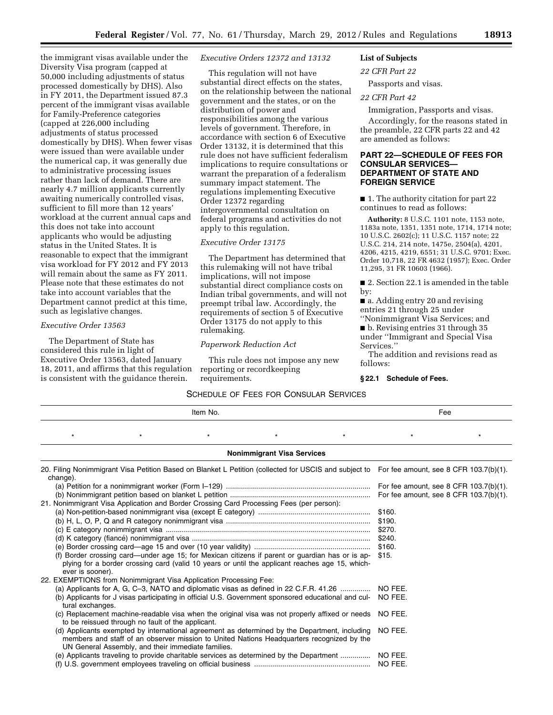the immigrant visas available under the Diversity Visa program (capped at 50,000 including adjustments of status processed domestically by DHS). Also in FY 2011, the Department issued 87.3 percent of the immigrant visas available for Family-Preference categories (capped at 226,000 including adjustments of status processed domestically by DHS). When fewer visas were issued than were available under the numerical cap, it was generally due to administrative processing issues rather than lack of demand. There are nearly 4.7 million applicants currently awaiting numerically controlled visas, sufficient to fill more than 12 years' workload at the current annual caps and this does not take into account applicants who would be adjusting status in the United States. It is reasonable to expect that the immigrant visa workload for FY 2012 and FY 2013 will remain about the same as FY 2011. Please note that these estimates do not take into account variables that the Department cannot predict at this time, such as legislative changes.

## *Executive Order 13563*

The Department of State has considered this rule in light of Executive Order 13563, dated January 18, 2011, and affirms that this regulation is consistent with the guidance therein.

*Executive Orders 12372 and 13132* 

This regulation will not have substantial direct effects on the states, on the relationship between the national government and the states, or on the distribution of power and responsibilities among the various levels of government. Therefore, in accordance with section 6 of Executive Order 13132, it is determined that this rule does not have sufficient federalism implications to require consultations or warrant the preparation of a federalism summary impact statement. The regulations implementing Executive Order 12372 regarding intergovernmental consultation on federal programs and activities do not apply to this regulation.

#### *Executive Order 13175*

The Department has determined that this rulemaking will not have tribal implications, will not impose substantial direct compliance costs on Indian tribal governments, and will not preempt tribal law. Accordingly, the requirements of section 5 of Executive Order 13175 do not apply to this rulemaking.

#### *Paperwork Reduction Act*

This rule does not impose any new reporting or recordkeeping requirements.

# **List of Subjects**

*22 CFR Part 22* 

Passports and visas.

# *22 CFR Part 42*

Immigration, Passports and visas.

Accordingly, for the reasons stated in the preamble, 22 CFR parts 22 and 42 are amended as follows:

# **PART 22—SCHEDULE OF FEES FOR CONSULAR SERVICES— DEPARTMENT OF STATE AND FOREIGN SERVICE**

■ 1. The authority citation for part 22 continues to read as follows:

**Authority:** 8 U.S.C. 1101 note, 1153 note, 1183a note, 1351, 1351 note, 1714, 1714 note; 10 U.S.C. 2602(c); 11 U.S.C. 1157 note; 22 U.S.C. 214, 214 note, 1475e, 2504(a), 4201, 4206, 4215, 4219, 6551; 31 U.S.C. 9701; Exec. Order 10,718, 22 FR 4632 (1957); Exec. Order 11,295, 31 FR 10603 (1966).

■ 2. Section 22.1 is amended in the table by:

■ a. Adding entry 20 and revising entries 21 through 25 under

''Nonimmigrant Visa Services; and ■ b. Revising entries 31 through 35 under ''Immigrant and Special Visa

Services.''

The addition and revisions read as follows:

#### **§ 22.1 Schedule of Fees.**

# SCHEDULE OF FEES FOR CONSULAR SERVICES

| Item No.                                                                                 |                                                                                                                                                                                                                                                  |         | Fee                               |          |                    |                                                                                                                                              |
|------------------------------------------------------------------------------------------|--------------------------------------------------------------------------------------------------------------------------------------------------------------------------------------------------------------------------------------------------|---------|-----------------------------------|----------|--------------------|----------------------------------------------------------------------------------------------------------------------------------------------|
| $\star$                                                                                  | $\star$                                                                                                                                                                                                                                          | $\star$ | $\star$                           | $^\star$ | $\star$            | $\star$                                                                                                                                      |
|                                                                                          |                                                                                                                                                                                                                                                  |         | <b>Nonimmigrant Visa Services</b> |          |                    |                                                                                                                                              |
| change).                                                                                 |                                                                                                                                                                                                                                                  |         |                                   |          |                    | 20. Filing Nonimmigrant Visa Petition Based on Blanket L Petition (collected for USCIS and subject to For fee amount, see 8 CFR 103.7(b)(1). |
|                                                                                          |                                                                                                                                                                                                                                                  |         |                                   |          |                    | For fee amount, see 8 CFR 103.7(b)(1).                                                                                                       |
|                                                                                          |                                                                                                                                                                                                                                                  |         |                                   |          |                    | For fee amount, see 8 CFR $103.7(b)(1)$ .                                                                                                    |
| 21. Nonimmigrant Visa Application and Border Crossing Card Processing Fees (per person): |                                                                                                                                                                                                                                                  |         |                                   |          |                    |                                                                                                                                              |
|                                                                                          |                                                                                                                                                                                                                                                  |         |                                   |          | \$160.             |                                                                                                                                              |
|                                                                                          |                                                                                                                                                                                                                                                  |         |                                   |          | \$190.             |                                                                                                                                              |
|                                                                                          |                                                                                                                                                                                                                                                  |         |                                   |          | \$270.             |                                                                                                                                              |
|                                                                                          |                                                                                                                                                                                                                                                  |         |                                   |          | \$240.             |                                                                                                                                              |
|                                                                                          |                                                                                                                                                                                                                                                  |         |                                   |          | \$160.             |                                                                                                                                              |
|                                                                                          | (f) Border crossing card—under age 15; for Mexican citizens if parent or guardian has or is ap-                                                                                                                                                  |         |                                   |          | \$15.              |                                                                                                                                              |
| ever is sooner).                                                                         | plying for a border crossing card (valid 10 years or until the applicant reaches age 15, which-                                                                                                                                                  |         |                                   |          |                    |                                                                                                                                              |
| 22. EXEMPTIONS from Nonimmigrant Visa Application Processing Fee:                        |                                                                                                                                                                                                                                                  |         |                                   |          |                    |                                                                                                                                              |
| (a) Applicants for A, G, C-3, NATO and diplomatic visas as defined in 22 C.F.R. 41.26    |                                                                                                                                                                                                                                                  |         |                                   |          | NO FEE.            |                                                                                                                                              |
| tural exchanges.                                                                         | (b) Applicants for J visas participating in official U.S. Government sponsored educational and cul-                                                                                                                                              |         |                                   |          | NO FEE.            |                                                                                                                                              |
|                                                                                          | (c) Replacement machine-readable visa when the original visa was not properly affixed or needs<br>to be reissued through no fault of the applicant.                                                                                              |         |                                   |          | NO FEE.            |                                                                                                                                              |
|                                                                                          | (d) Applicants exempted by international agreement as determined by the Department, including<br>members and staff of an observer mission to United Nations Headquarters recognized by the<br>UN General Assembly, and their immediate families. |         |                                   |          | NO FEE.            |                                                                                                                                              |
|                                                                                          | (e) Applicants traveling to provide charitable services as determined by the Department                                                                                                                                                          |         |                                   |          | NO FEE.<br>NO FEE. |                                                                                                                                              |